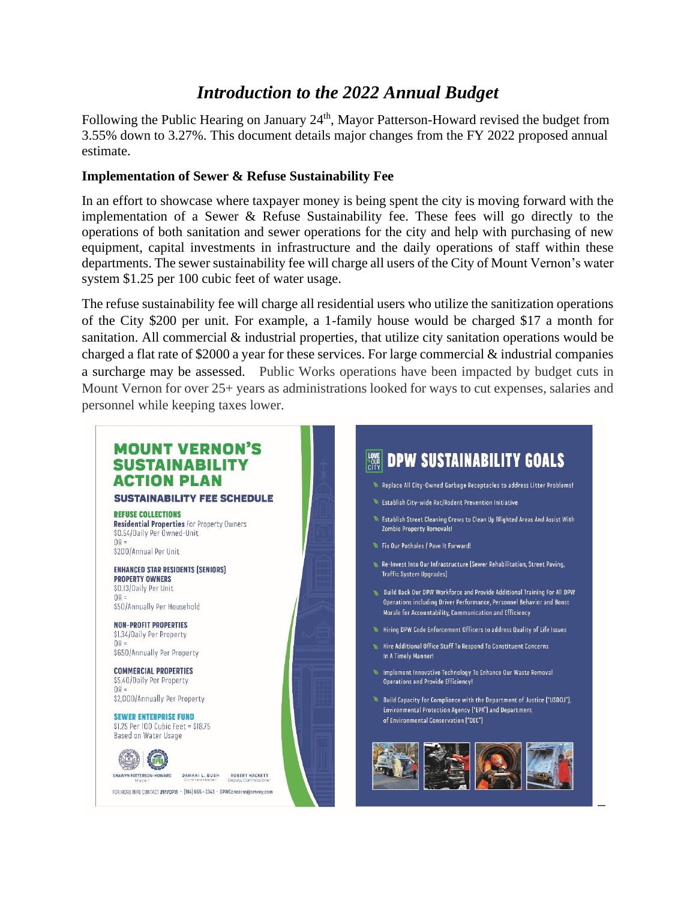# **Introduction to the 2022 Annual Budget**

Following the Public Hearing on January 24<sup>th</sup>, Mayor Patterson-Howard revised the budget from 3.55% down to 3.27%. This document details major changes from the FY 2022 proposed annual estimate.

#### **Implementation of Sewer & Refuse Sustainability Fee**

In an effort to showcase where taxpayer money is being spent the city is moving forward with the implementation of a Sewer & Refuse Sustainability fee. These fees will go directly to the operations of both sanitation and sewer operations for the city and help with purchasing of new equipment, capital investments in infrastructure and the daily operations of staff within these departments. The sewer sustainability fee will charge all users of the City of Mount Vernon's water system \$1.25 per 100 cubic feet of water usage.

The refuse sustainability fee will charge all residential users who utilize the sanitization operations of the City \$200 per unit. For example, a 1-family house would be charged \$17 a month for sanitation. All commercial  $\&$  industrial properties, that utilize city sanitation operations would be charged a flat rate of \$2000 a year for these services. For large commercial  $\&$  industrial companies a surcharge may be assessed. Public Works operations have been impacted by budget cuts in Mount Vernon for over 25+ years as administrations looked for ways to cut expenses, salaries and personnel while keeping taxes lower.



#### **SUSTAINABILITY FEE SCHEDULE**

**DEFIISE COLLECTIONS Residential Properties For Property Owners** \$0.54/Daily Per Owned-Unit  $\overline{OR}$  = \$200/Annual Per Unit

**ENHANCED STAR RESIDENTS [SENIORS] PROPERTY OWNERS** 

\$0.13/Daily Per Unit  $\cap R =$ \$50/Annually Per Household

NON-PROFIT PROPERTIES \$1.34/Daily Per Property  $\overline{OP}$  = \$650/Annually Per Property

**COMMERCIAL PROPERTIES** \$5.40/Daily Per Property  $OR =$ \$2,000/Annually Per Property

**SEWER ENTERPRISE FUND**  $$1.25$  Per  $100$  Cubic Feet =  $$18.75$ Based on Water Usage



DAMANI L. BUSH ROBERT HACKETT

FOR MORE INFO CONTACT #MVDPW · [914] 665 - 2343 · DPWConcerns@cmvny.com

# **SEE DPW SUSTAINABILITY GOALS**

- Replace All City-Owned Garbage Receptacles to address Litter Problems!
- Establish City-wide Rat/Rodent Prevention Initiative
- Establish Street Cleaning Crews to Clean Up Blighted Areas And Assist With **Zombie Pronerty Removalship**
- Fix Our Potholes / Pave It Forward!
- Re-Invest Into Our Infrastructure (Sewer Rehabilitation, Street Paving, **Traffic System Upgrades**
- Build Back Our DPW Workforce and Provide Additional Training For All DPW Operations including Driver Performance, Personnel Behavior and Boost Morale for Accountability, Communication and Efficiency
- Hirino DPW Code Enforcement Officers to address Quality of Life Issues
- Hire Additional Office Staff To Respond To Constituent Concerns In A Timely Manner!
- Implement Innovative Technology To Enhance Our Waste Removal Operations and Provide Efficiency!
- Build Capacity for Compliance with the Department of Justice ("USDOJ"), Environmental Protection Agency ("EPA") and Department of Environmental Conservation ["DEC"]

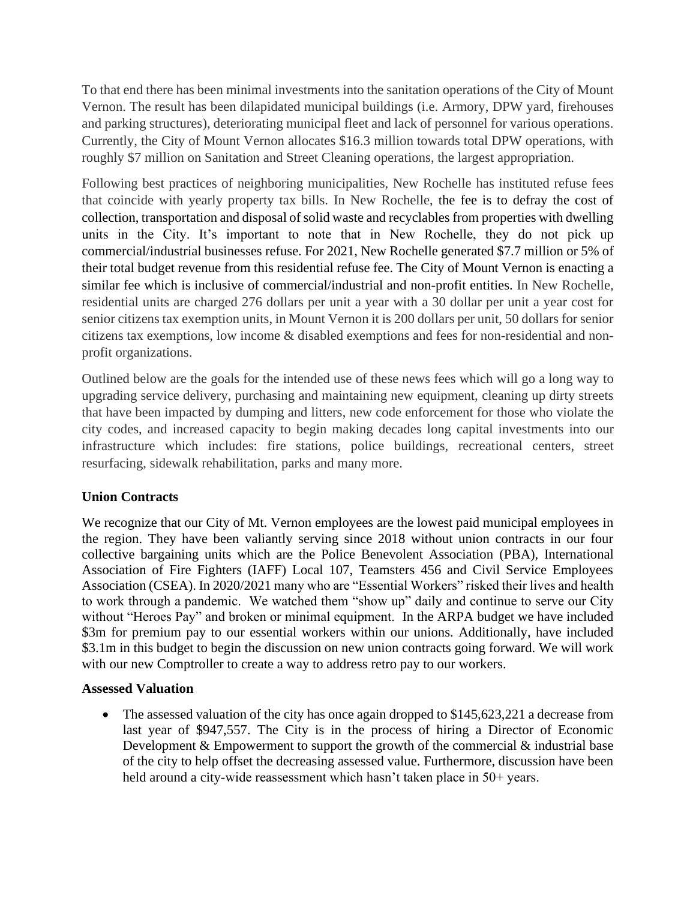To that end there has been minimal investments into the sanitation operations of the City of Mount Vernon. The result has been dilapidated municipal buildings (i.e. Armory, DPW yard, firehouses and parking structures), deteriorating municipal fleet and lack of personnel for various operations. Currently, the City of Mount Vernon allocates \$16.3 million towards total DPW operations, with roughly \$7 million on Sanitation and Street Cleaning operations, the largest appropriation.

Following best practices of neighboring municipalities, New Rochelle has instituted refuse fees that coincide with yearly property tax bills. In New Rochelle, the fee is to defray the cost of collection, transportation and disposal of solid waste and recyclables from properties with dwelling units in the City. It's important to note that in New Rochelle, they do not pick up commercial/industrial businesses refuse. For 2021, New Rochelle generated \$7.7 million or 5% of their total budget revenue from this residential refuse fee. The City of Mount Vernon is enacting a similar fee which is inclusive of commercial/industrial and non-profit entities. In New Rochelle, residential units are charged 276 dollars per unit a year with a 30 dollar per unit a year cost for senior citizens tax exemption units, in Mount Vernon it is 200 dollars per unit, 50 dollars for senior citizens tax exemptions, low income & disabled exemptions and fees for non-residential and nonprofit organizations.

Outlined below are the goals for the intended use of these news fees which will go a long way to upgrading service delivery, purchasing and maintaining new equipment, cleaning up dirty streets that have been impacted by dumping and litters, new code enforcement for those who violate the city codes, and increased capacity to begin making decades long capital investments into our infrastructure which includes: fire stations, police buildings, recreational centers, street resurfacing, sidewalk rehabilitation, parks and many more.

#### **Union Contracts**

We recognize that our City of Mt. Vernon employees are the lowest paid municipal employees in the region. They have been valiantly serving since 2018 without union contracts in our four collective bargaining units which are the Police Benevolent Association (PBA), International Association of Fire Fighters (IAFF) Local 107, Teamsters 456 and Civil Service Employees Association (CSEA). In 2020/2021 many who are "Essential Workers" risked their lives and health to work through a pandemic. We watched them "show up" daily and continue to serve our City without "Heroes Pay" and broken or minimal equipment. In the ARPA budget we have included \$3m for premium pay to our essential workers within our unions. Additionally, have included \$3.1m in this budget to begin the discussion on new union contracts going forward. We will work with our new Comptroller to create a way to address retro pay to our workers.

#### **Assessed Valuation**

• The assessed valuation of the city has once again dropped to \$145,623,221 a decrease from last year of \$947,557. The City is in the process of hiring a Director of Economic Development  $&$  Empowerment to support the growth of the commercial  $&$  industrial base of the city to help offset the decreasing assessed value. Furthermore, discussion have been held around a city-wide reassessment which hasn't taken place in 50+ years.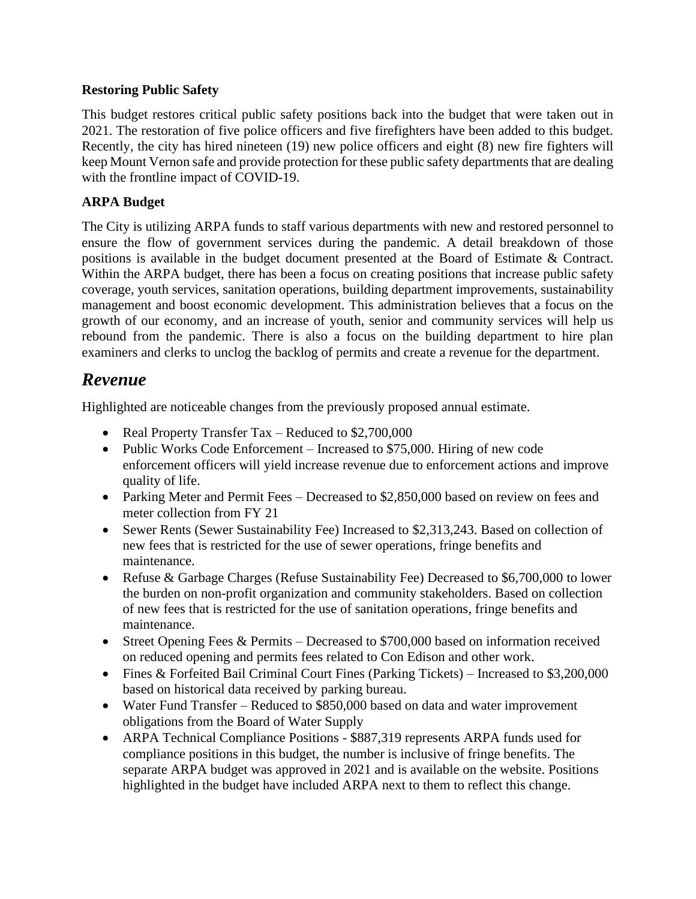#### **Restoring Public Safety**

This budget restores critical public safety positions back into the budget that were taken out in 2021. The restoration of five police officers and five firefighters have been added to this budget. Recently, the city has hired nineteen (19) new police officers and eight (8) new fire fighters will keep Mount Vernon safe and provide protection for these public safety departments that are dealing with the frontline impact of COVID-19.

#### **ARPA Budget**

The City is utilizing ARPA funds to staff various departments with new and restored personnel to ensure the flow of government services during the pandemic. A detail breakdown of those positions is available in the budget document presented at the Board of Estimate & Contract. Within the ARPA budget, there has been a focus on creating positions that increase public safety coverage, youth services, sanitation operations, building department improvements, sustainability management and boost economic development. This administration believes that a focus on the growth of our economy, and an increase of youth, senior and community services will help us rebound from the pandemic. There is also a focus on the building department to hire plan examiners and clerks to unclog the backlog of permits and create a revenue for the department.

# *Revenue*

Highlighted are noticeable changes from the previously proposed annual estimate.

- Real Property Transfer Tax Reduced to \$2,700,000
- Public Works Code Enforcement Increased to \$75,000. Hiring of new code enforcement officers will yield increase revenue due to enforcement actions and improve quality of life.
- Parking Meter and Permit Fees Decreased to \$2,850,000 based on review on fees and meter collection from FY 21
- Sewer Rents (Sewer Sustainability Fee) Increased to \$2,313,243. Based on collection of new fees that is restricted for the use of sewer operations, fringe benefits and maintenance.
- Refuse & Garbage Charges (Refuse Sustainability Fee) Decreased to \$6,700,000 to lower the burden on non-profit organization and community stakeholders. Based on collection of new fees that is restricted for the use of sanitation operations, fringe benefits and maintenance.
- Street Opening Fees & Permits Decreased to \$700,000 based on information received on reduced opening and permits fees related to Con Edison and other work.
- Fines & Forfeited Bail Criminal Court Fines (Parking Tickets) Increased to \$3,200,000 based on historical data received by parking bureau.
- Water Fund Transfer Reduced to \$850,000 based on data and water improvement obligations from the Board of Water Supply
- ARPA Technical Compliance Positions \$887,319 represents ARPA funds used for compliance positions in this budget, the number is inclusive of fringe benefits. The separate ARPA budget was approved in 2021 and is available on the website. Positions highlighted in the budget have included ARPA next to them to reflect this change.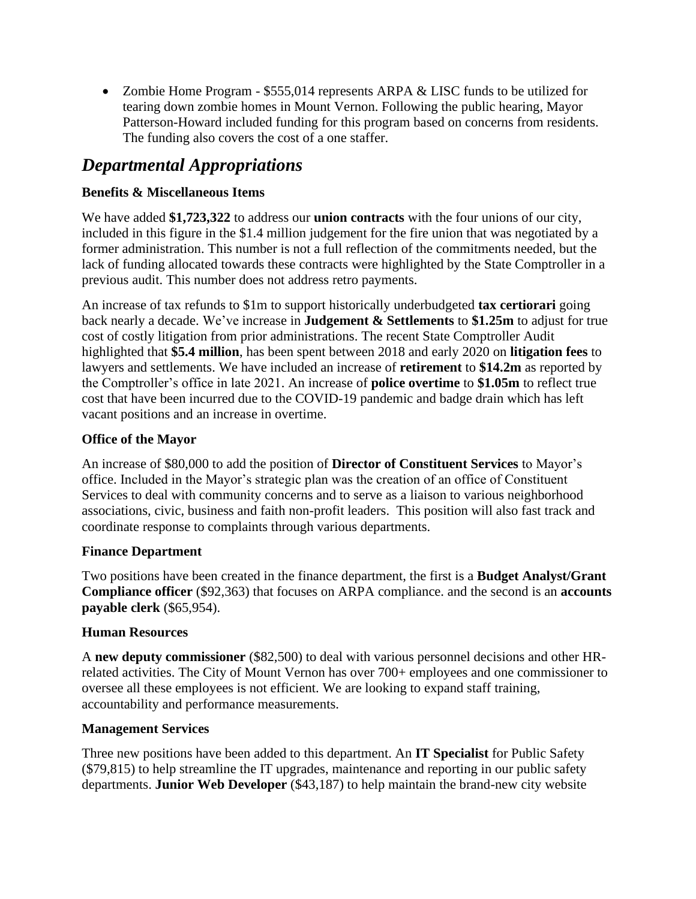• Zombie Home Program - \$555,014 represents ARPA & LISC funds to be utilized for tearing down zombie homes in Mount Vernon. Following the public hearing, Mayor Patterson-Howard included funding for this program based on concerns from residents. The funding also covers the cost of a one staffer.

# *Departmental Appropriations*

# **Benefits & Miscellaneous Items**

We have added **\$1,723,322** to address our **union contracts** with the four unions of our city, included in this figure in the \$1.4 million judgement for the fire union that was negotiated by a former administration. This number is not a full reflection of the commitments needed, but the lack of funding allocated towards these contracts were highlighted by the State Comptroller in a previous audit. This number does not address retro payments.

An increase of tax refunds to \$1m to support historically underbudgeted **tax certiorari** going back nearly a decade. We've increase in **Judgement & Settlements** to **\$1.25m** to adjust for true cost of costly litigation from prior administrations. The recent State Comptroller Audit highlighted that **\$5.4 million**, has been spent between 2018 and early 2020 on **litigation fees** to lawyers and settlements. We have included an increase of **retirement** to **\$14.2m** as reported by the Comptroller's office in late 2021. An increase of **police overtime** to **\$1.05m** to reflect true cost that have been incurred due to the COVID-19 pandemic and badge drain which has left vacant positions and an increase in overtime.

# **Office of the Mayor**

An increase of \$80,000 to add the position of **Director of Constituent Services** to Mayor's office. Included in the Mayor's strategic plan was the creation of an office of Constituent Services to deal with community concerns and to serve as a liaison to various neighborhood associations, civic, business and faith non-profit leaders. This position will also fast track and coordinate response to complaints through various departments.

# **Finance Department**

Two positions have been created in the finance department, the first is a **Budget Analyst/Grant Compliance officer** (\$92,363) that focuses on ARPA compliance. and the second is an **accounts payable clerk** (\$65,954).

# **Human Resources**

A **new deputy commissioner** (\$82,500) to deal with various personnel decisions and other HRrelated activities. The City of Mount Vernon has over 700+ employees and one commissioner to oversee all these employees is not efficient. We are looking to expand staff training, accountability and performance measurements.

# **Management Services**

Three new positions have been added to this department. An **IT Specialist** for Public Safety (\$79,815) to help streamline the IT upgrades, maintenance and reporting in our public safety departments. **Junior Web Developer** (\$43,187) to help maintain the brand-new city website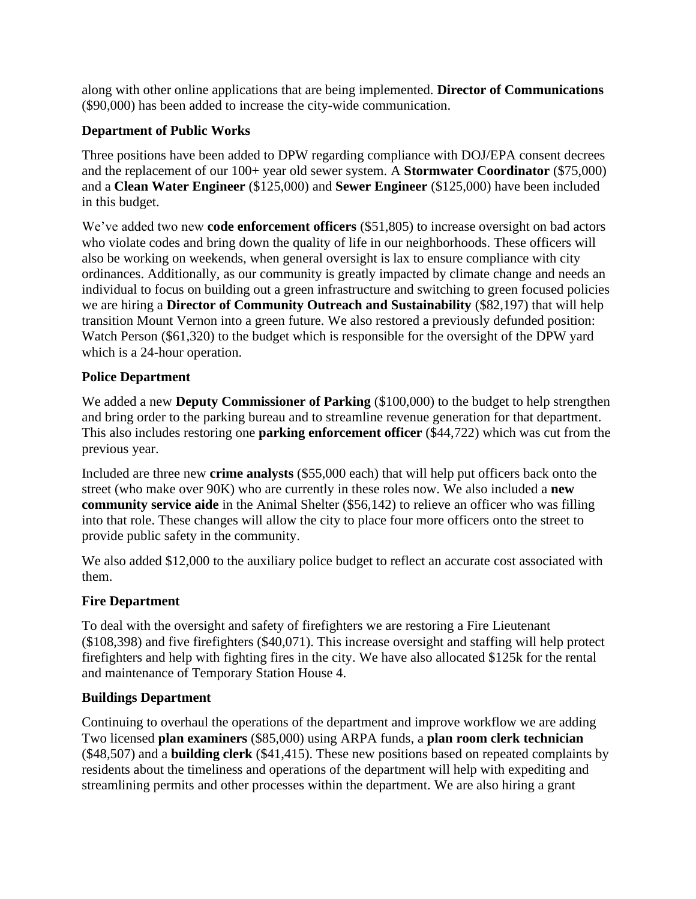along with other online applications that are being implemented. **Director of Communications** (\$90,000) has been added to increase the city-wide communication.

### **Department of Public Works**

Three positions have been added to DPW regarding compliance with DOJ/EPA consent decrees and the replacement of our 100+ year old sewer system. A **Stormwater Coordinator** (\$75,000) and a **Clean Water Engineer** (\$125,000) and **Sewer Engineer** (\$125,000) have been included in this budget.

We've added two new **code enforcement officers** (\$51,805) to increase oversight on bad actors who violate codes and bring down the quality of life in our neighborhoods. These officers will also be working on weekends, when general oversight is lax to ensure compliance with city ordinances. Additionally, as our community is greatly impacted by climate change and needs an individual to focus on building out a green infrastructure and switching to green focused policies we are hiring a **Director of Community Outreach and Sustainability** (\$82,197) that will help transition Mount Vernon into a green future. We also restored a previously defunded position: Watch Person (\$61,320) to the budget which is responsible for the oversight of the DPW yard which is a 24-hour operation.

### **Police Department**

We added a new **Deputy Commissioner of Parking** (\$100,000) to the budget to help strengthen and bring order to the parking bureau and to streamline revenue generation for that department. This also includes restoring one **parking enforcement officer** (\$44,722) which was cut from the previous year.

Included are three new **crime analysts** (\$55,000 each) that will help put officers back onto the street (who make over 90K) who are currently in these roles now. We also included a **new community service aide** in the Animal Shelter (\$56,142) to relieve an officer who was filling into that role. These changes will allow the city to place four more officers onto the street to provide public safety in the community.

We also added \$12,000 to the auxiliary police budget to reflect an accurate cost associated with them.

# **Fire Department**

To deal with the oversight and safety of firefighters we are restoring a Fire Lieutenant (\$108,398) and five firefighters (\$40,071). This increase oversight and staffing will help protect firefighters and help with fighting fires in the city. We have also allocated \$125k for the rental and maintenance of Temporary Station House 4.

# **Buildings Department**

Continuing to overhaul the operations of the department and improve workflow we are adding Two licensed **plan examiners** (\$85,000) using ARPA funds, a **plan room clerk technician** (\$48,507) and a **building clerk** (\$41,415). These new positions based on repeated complaints by residents about the timeliness and operations of the department will help with expediting and streamlining permits and other processes within the department. We are also hiring a grant